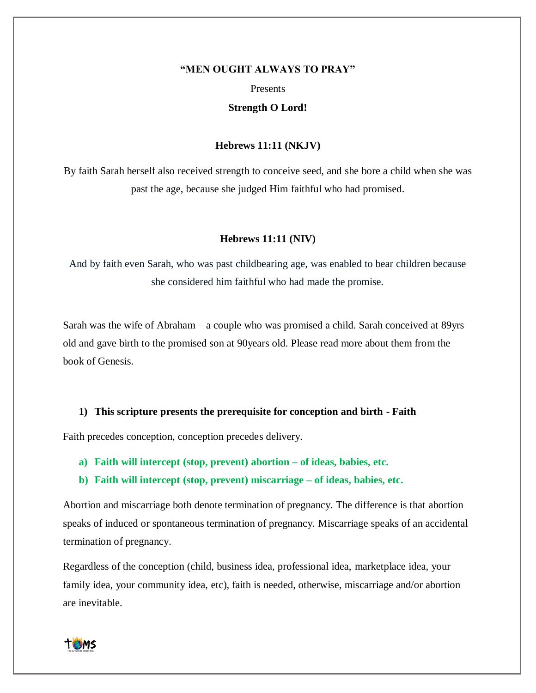#### **"MEN OUGHT ALWAYS TO PRAY"**

#### Presents

## **Strength O Lord!**

### **Hebrews 11:11 (NKJV)**

By faith Sarah herself also received strength to conceive seed, and she bore a child when she was past the age, because she judged Him faithful who had promised.

### **Hebrews 11:11 (NIV)**

And by faith even Sarah, who was past childbearing age, was enabled to bear children because she considered him faithful who had made the promise.

Sarah was the wife of Abraham – a couple who was promised a child. Sarah conceived at 89yrs old and gave birth to the promised son at 90years old. Please read more about them from the book of Genesis.

### **1) This scripture presents the prerequisite for conception and birth - Faith**

Faith precedes conception, conception precedes delivery.

- **a) Faith will intercept (stop, prevent) abortion – of ideas, babies, etc.**
- **b) Faith will intercept (stop, prevent) miscarriage – of ideas, babies, etc.**

Abortion and miscarriage both denote termination of pregnancy. The difference is that abortion speaks of induced or spontaneous termination of pregnancy. Miscarriage speaks of an accidental termination of pregnancy.

Regardless of the conception (child, business idea, professional idea, marketplace idea, your family idea, your community idea, etc), faith is needed, otherwise, miscarriage and/or abortion are inevitable.

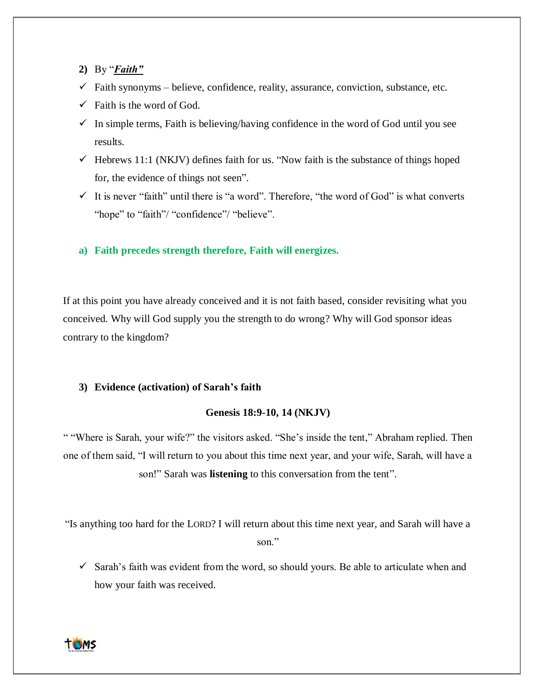- **2)** By "*Faith"*
- $\checkmark$  Faith synonyms believe, confidence, reality, assurance, conviction, substance, etc.
- $\checkmark$  Faith is the word of God.
- $\checkmark$  In simple terms, Faith is believing/having confidence in the word of God until you see results.
- $\checkmark$  Hebrews 11:1 (NKJV) defines faith for us. "Now faith is the substance of things hoped for, the evidence of things not seen".
- $\checkmark$  It is never "faith" until there is "a word". Therefore, "the word of God" is what converts "hope" to "faith"/ "confidence"/ "believe".

**a) Faith precedes strength therefore, Faith will energizes.**

If at this point you have already conceived and it is not faith based, consider revisiting what you conceived. Why will God supply you the strength to do wrong? Why will God sponsor ideas contrary to the kingdom?

# **3) Evidence (activation) of Sarah's faith**

## **Genesis 18:9-10, 14 (NKJV)**

" "Where is Sarah, your wife?" the visitors asked. "She's inside the tent," Abraham replied. Then one of them said, "I will return to you about this time next year, and your wife, Sarah, will have a son!" Sarah was **listening** to this conversation from the tent".

"Is anything too hard for the LORD? I will return about this time next year, and Sarah will have a son."

 $\checkmark$  Sarah's faith was evident from the word, so should yours. Be able to articulate when and how your faith was received.

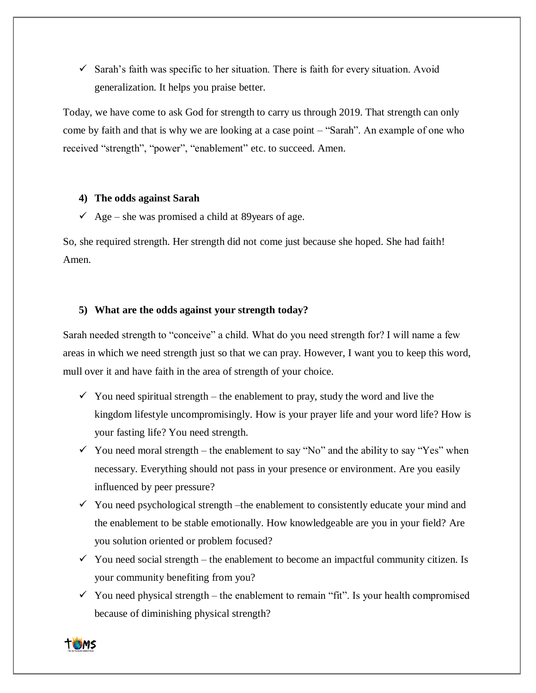$\checkmark$  Sarah's faith was specific to her situation. There is faith for every situation. Avoid generalization. It helps you praise better.

Today, we have come to ask God for strength to carry us through 2019. That strength can only come by faith and that is why we are looking at a case point – "Sarah". An example of one who received "strength", "power", "enablement" etc. to succeed. Amen.

## **4) The odds against Sarah**

 $\checkmark$  Age – she was promised a child at 89 years of age.

So, she required strength. Her strength did not come just because she hoped. She had faith! Amen.

## **5) What are the odds against your strength today?**

Sarah needed strength to "conceive" a child. What do you need strength for? I will name a few areas in which we need strength just so that we can pray. However, I want you to keep this word, mull over it and have faith in the area of strength of your choice.

- $\checkmark$  You need spiritual strength the enablement to pray, study the word and live the kingdom lifestyle uncompromisingly. How is your prayer life and your word life? How is your fasting life? You need strength.
- $\checkmark$  You need moral strength the enablement to say "No" and the ability to say "Yes" when necessary. Everything should not pass in your presence or environment. Are you easily influenced by peer pressure?
- $\checkmark$  You need psychological strength –the enablement to consistently educate your mind and the enablement to be stable emotionally. How knowledgeable are you in your field? Are you solution oriented or problem focused?
- $\checkmark$  You need social strength the enablement to become an impactful community citizen. Is your community benefiting from you?
- $\checkmark$  You need physical strength the enablement to remain "fit". Is your health compromised because of diminishing physical strength?

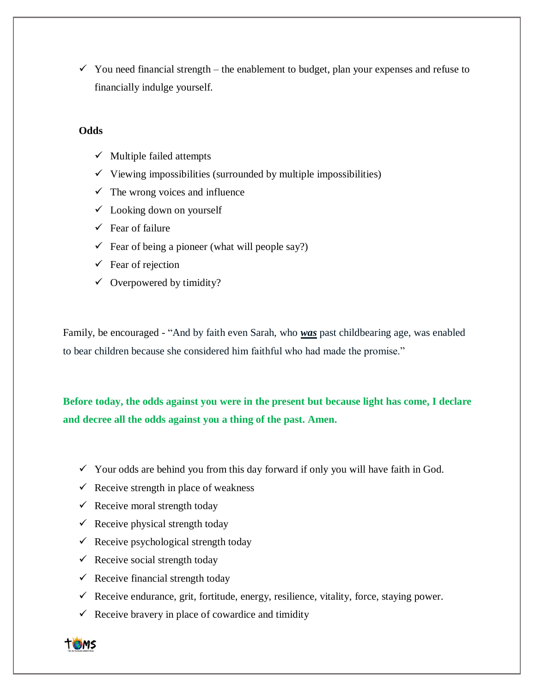$\checkmark$  You need financial strength – the enablement to budget, plan your expenses and refuse to financially indulge yourself.

# **Odds**

- $\checkmark$  Multiple failed attempts
- $\checkmark$  Viewing impossibilities (surrounded by multiple impossibilities)
- $\checkmark$  The wrong voices and influence
- $\checkmark$  Looking down on yourself
- ✓ Fear of failure
- $\checkmark$  Fear of being a pioneer (what will people say?)
- $\checkmark$  Fear of rejection
- $\checkmark$  Overpowered by timidity?

Family, be encouraged - "And by faith even Sarah, who *was* past childbearing age, was enabled to bear children because she considered him faithful who had made the promise."

**Before today, the odds against you were in the present but because light has come, I declare and decree all the odds against you a thing of the past. Amen.**

- $\checkmark$  Your odds are behind you from this day forward if only you will have faith in God.
- $\checkmark$  Receive strength in place of weakness
- $\checkmark$  Receive moral strength today
- $\checkmark$  Receive physical strength today
- $\checkmark$  Receive psychological strength today
- $\checkmark$  Receive social strength today
- $\checkmark$  Receive financial strength today
- $\checkmark$  Receive endurance, grit, fortitude, energy, resilience, vitality, force, staying power.
- $\checkmark$  Receive bravery in place of cowardice and timidity